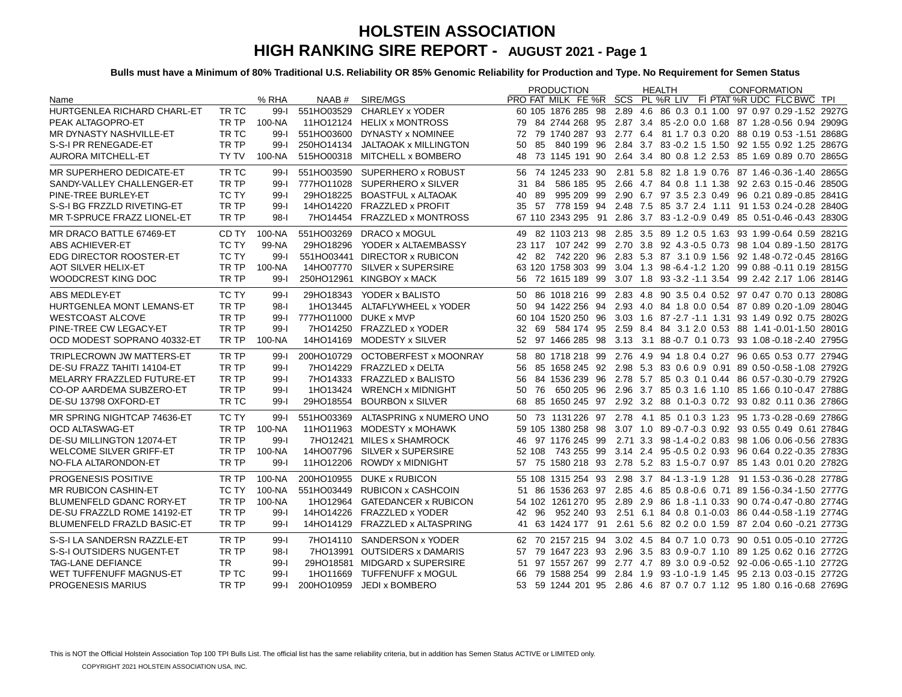|                                   |              |          |            |                                    | <b>PRODUCTION</b> | <b>HEALTH</b> | <b>CONFORMATION</b>                                                      |
|-----------------------------------|--------------|----------|------------|------------------------------------|-------------------|---------------|--------------------------------------------------------------------------|
| Name                              |              | % RHA    | NAAB #     | SIRE/MGS                           |                   |               | PRO FAT MILK FE %R SCS PL %R LIV FI PTAT %R UDC FLC BWC TPI              |
| HURTGENLEA RICHARD CHARL-ET       | TR TC        | 99-1     |            | 551HO03529 CHARLEY x YODER         |                   |               | 60 105 1876 285 98 2.89 4.6 86 0.3 0.1 1.00 97 0.97 0.29 -1.52 2927G     |
| PEAK ALTAGOPRO-ET                 | TR TP        | 100-NA   |            | 11HO12124 HELIX x MONTROSS         |                   |               | 79 84 2744 268 95 2.87 3.4 85 - 2.0 0.0 1.68 87 1.28 - 0.56 0.94 2909 G  |
| MR DYNASTY NASHVILLE-ET           | TR TC        | $99 - 1$ |            | 551HO03600 DYNASTY x NOMINEE       |                   |               | 72 79 1740 287 93 2.77 6.4 81 1.7 0.3 0.20 88 0.19 0.53 -1.51 2868G      |
| S-S-I PR RENEGADE-ET              | TR TP        | $99 - 1$ |            | 250HO14134 JALTAOAK x MILLINGTON   | 85<br>50          |               | 840 199  96  2.84  3.7  83  -0.2  1.5  1.50  92  1.55  0.92  1.25  2867G |
| <b>AURORA MITCHELL-ET</b>         | <b>TY TV</b> | 100-NA   |            | 515HO00318 MITCHELL x BOMBERO      | 48                |               | 73 1145 191 90 2.64 3.4 80 0.8 1.2 2.53 85 1.69 0.89 0.70 2865G          |
| MR SUPERHERO DEDICATE-ET          | TR TC        | $99 - 1$ |            | 551HO03590 SUPERHERO x ROBUST      |                   |               | 56 74 1245 233 90 2.81 5.8 82 1.8 1.9 0.76 87 1.46 0.36 1.40 2865G       |
| SANDY-VALLEY CHALLENGER-ET        | TR TP        | $99 - 1$ |            | 777HO11028 SUPERHERO x SILVER      | 31 84             |               | 586 185 95 2.66 4.7 84 0.8 1.1 1.38 92 2.63 0.15 0.46 2850G              |
| PINE-TREE BURLEY-ET               | <b>TC TY</b> | $99 - 1$ |            | 29HO18225 BOASTFUL x ALTAOAK       | 89<br>40          |               | 995 209 99 2.90 6.7 97 3.5 2.3 0.49 96 0.21 0.89 -0.85 2841G             |
| S-S-I BG FRZZLD RIVETING-ET       | TR TP        | $99 - 1$ |            | 14HO14220 FRAZZLED x PROFIT        | 35 57             |               | 778 159 94 2.48 7.5 85 3.7 2.4 1.11 91 1.53 0.24 -0.28 2840G             |
| MR T-SPRUCE FRAZZ LIONEL-ET       | TR TP        | $98 - 1$ |            | 7HO14454 FRAZZLED x MONTROSS       |                   |               | 67 110 2343 295 91 2.86 3.7 83 -1.2 -0.9 0.49 85 0.51 -0.46 -0.43 2830G  |
| MR DRACO BATTLE 67469-ET          | CD TY        | 100-NA   | 551HO03269 | <b>DRACO x MOGUL</b>               |                   |               | 49 82 1103 213 98 2.85 3.5 89 1.2 0.5 1.63 93 1.99 -0.64 0.59 2821G      |
| ABS ACHIEVER-ET                   | TC TY        | 99-NA    | 29HO18296  | YODER x ALTAEMBASSY                |                   |               | 23 117 107 242 99 2.70 3.8 92 4.3 -0.5 0.73 98 1.04 0.89 -1.50 2817G     |
| <b>EDG DIRECTOR ROOSTER-ET</b>    | <b>TC TY</b> | $99 - 1$ |            | 551HO03441 DIRECTOR x RUBICON      |                   |               | 42 82 742 220 96 2.83 5.3 87 3.1 0.9 1.56 92 1.48 0.72 0.45 2816G        |
| <b>AOT SILVER HELIX-ET</b>        | TR TP        | 100-NA   |            | 14HO07770 SILVER x SUPERSIRE       |                   |               | 63 120 1758 303 99 3.04 1.3 98 -6.4 -1.2 1.20 99 0.88 -0.11 0.19 2815G   |
| WOODCREST KING DOC                | TR TP        | $99 - 1$ |            | 250HO12961 KINGBOY x MACK          |                   |               | 56 72 1615 189 99 3.07 1.8 93 -3.2 -1.1 3.54 99 2.42 2.17 1.06 2814G     |
| ABS MEDLEY-ET                     | <b>TC TY</b> | $99-1$   |            | 29HO18343 YODER x BALISTO          |                   |               | 50 86 1018 216 99 2.83 4.8 90 3.5 0.4 0.52 97 0.47 0.70 0.13 2808G       |
| HURTGENLEA MONT LEMANS-ET         | TR TP        | $98-1$   |            | 1HO13445 ALTAFLYWHEEL x YODER      |                   |               | 50 94 1422 256 94 2.93 4.0 84 1.8 0.0 0.54 87 0.89 0.20 -1.09 2804G      |
| <b>WESTCOAST ALCOVE</b>           | TR TP        | $99 - 1$ |            | 777HO11000 DUKE x MVP              |                   |               | 60 104 1520 250 96 3.03 1.6 87 -2.7 -1.1 1.31 93 1.49 0.92 0.75 2802G    |
| PINE-TREE CW LEGACY-ET            | TR TP        | $99-$    |            | 7HO14250 FRAZZLED x YODER          |                   |               | 32 69 584 174 95 2.59 8.4 84 3.1 2.0 0.53 88 1.41 -0.01 - 1.50 2801G     |
| OCD MODEST SOPRANO 40332-ET       | TR TP        | 100-NA   |            | 14HO14169 MODESTY x SILVER         |                   |               | 52 97 1466 285 98 3.13 3.1 88 -0.7 0.1 0.73 93 1.08 -0.18 -2.40 2795G    |
| TRIPLECROWN JW MATTERS-ET         | TR TP        | 99-l     | 200HO10729 | OCTOBERFEST x MOONRAY              |                   |               | 58 80 1718 218 99 2.76 4.9 94 1.8 0.4 0.27 96 0.65 0.53 0.77 2794G       |
| DE-SU FRAZZ TAHITI 14104-ET       | TR TP        | $99 - 1$ |            | 7HO14229 FRAZZLED x DELTA          | 56                |               | 85 1658 245 92 2.98 5.3 83 0.6 0.9 0.91 89 0.50 0.58 1.08 2792G          |
| MELARRY FRAZZLED FUTURE-ET        | TR TP        | $99 - 1$ |            | 7HO14333 FRAZZLED x BALISTO        | 56                |               | 84 1536 239 96 2.78 5.7 85 0.3 0.1 0.44 86 0.57 -0.30 -0.79 2792G        |
| CO-OP AARDEMA SUBZERO-ET          | TR TP        | $99 - 1$ |            | 1HO13424 WRENCH x MIDNIGHT         | 50                |               | 76 650 205 96 2.96 3.7 85 0.3 1.6 1.10 85 1.66 0.10 -0.47 2788G          |
| DE-SU 13798 OXFORD-ET             | TR TC        | $99 - 1$ | 29HO18554  | <b>BOURBON x SILVER</b>            | 68                |               | 85 1650 245 97 2.92 3.2 88 0.1-0.3 0.72 93 0.82 0.11 0.36 2786G          |
| MR SPRING NIGHTCAP 74636-ET       | <b>TC TY</b> | 99-l     |            | 551HO03369 ALTASPRING x NUMERO UNO |                   |               | 50 73 1131 226 97 2.78 4.1 85 0.1 0.3 1.23 95 1.73 0.28 0.69 2786G       |
| <b>OCD ALTASWAG-ET</b>            | TR TP        | 100-NA   |            | 11HO11963 MODESTY x MOHAWK         |                   |               | 59 105 1380 258 98 3.07 1.0 89 -0.7 -0.3 0.92 93 0.55 0.49 0.61 2784G    |
| DE-SU MILLINGTON 12074-ET         | TR TP        | $99 - 1$ |            | 7HO12421 MILES x SHAMROCK          |                   |               | 46 97 1176 245 99 2.71 3.3 98 -1.4 -0.2 0.83 98 1.06 0.06 -0.56 2783G    |
| <b>WELCOME SILVER GRIFF-ET</b>    | TR TP        | 100-NA   |            | 14HO07796 SILVER x SUPERSIRE       |                   |               | 52 108 743 255 99 3.14 2.4 95 -0.5 0.2 0.93 96 0.64 0.22 -0.35 2783G     |
| NO-FLA ALTARONDON-ET              | TR TP        | $99 - 1$ | 11HO12206  | <b>ROWDY x MIDNIGHT</b>            |                   |               | 57 75 1580 218 93 2.78 5.2 83 1.5-0.7 0.97 85 1.43 0.01 0.20 2782G       |
| PROGENESIS POSITIVE               | TR TP        | 100-NA   |            | 200HO10955 DUKE x RUBICON          |                   |               | 55 108 1315 254 93 2.98 3.7 84 -1.3 -1.9 1.28 91 1.53 -0.36 -0.28 2778G  |
| MR RUBICON CASHIN-ET              | TC TY        | 100-NA   | 551HO03449 | <b>RUBICON x CASHCOIN</b>          |                   |               | 51 86 1536 263 97 2.85 4.6 85 0.8 - 0.6 0.71 89 1.56 - 0.34 - 1.50 2777G |
| BLUMENFELD GDANC RORY-ET          | TR TP        | 100-NA   | 1HO12964   | <b>GATEDANCER x RUBICON</b>        |                   |               | 54 102 1261 270 95 2.89 2.9 86 1.8 -1.1 0.33 90 0.74 -0.47 -0.80 2774G   |
| DE-SU FRAZZLD ROME 14192-ET       | TR TP        | $99 - 1$ |            | 14HO14226 FRAZZLED x YODER         | 42 96             |               | 952 240 93 2.51 6.1 84 0.8 0.1-0.03 86 0.44 -0.58 -1.19 2774G            |
| <b>BLUMENFELD FRAZLD BASIC-ET</b> | TR TP        | $99 - 1$ |            | 14HO14129 FRAZZLED x ALTASPRING    |                   |               | 41 63 1424 177 91 2.61 5.6 82 0.2 0.0 1.59 87 2.04 0.60 -0.21 2773G      |
| S-S-I LA SANDERSN RAZZLE-ET       | TR TP        | $99 - 1$ |            | 7HO14110 SANDERSON x YODER         |                   |               | 62 70 2157 215 94 3.02 4.5 84 0.7 1.0 0.73 90 0.51 0.05-0.10 2772G       |
| S-S-I OUTSIDERS NUGENT-ET         | TR TP        | $98 - 1$ |            | 7HO13991 OUTSIDERS x DAMARIS       |                   |               | 57 79 1647 223 93 2.96 3.5 83 0.9-0.7 1.10 89 1.25 0.62 0.16 2772G       |
| <b>TAG-LANE DEFIANCE</b>          | TR.          | $99 - 1$ |            | 29HO18581 MIDGARD x SUPERSIRE      |                   |               | 51 97 1557 267 99 2.77 4.7 89 3.0 0.9 -0.52 92 -0.06 -0.65 -1.10 2772G   |
| WET TUFFENUFF MAGNUS-ET           | TP TC        | $99 - 1$ |            | 1HO11669 TUFFENUFF x MOGUL         |                   |               | 66 79 1588 254 99 2.84 1.9 93 -1.0 -1.9 1.45 95 2.13 0.03 -0.15 2772G    |
| PROGENESIS MARIUS                 | TR TP        | $99 - 1$ |            | 200HO10959 JEDI x BOMBERO          |                   |               | 53 59 1244 201 95 2.86 4.6 87 0.7 0.7 1.12 95 1.80 0.16 0.68 2769G       |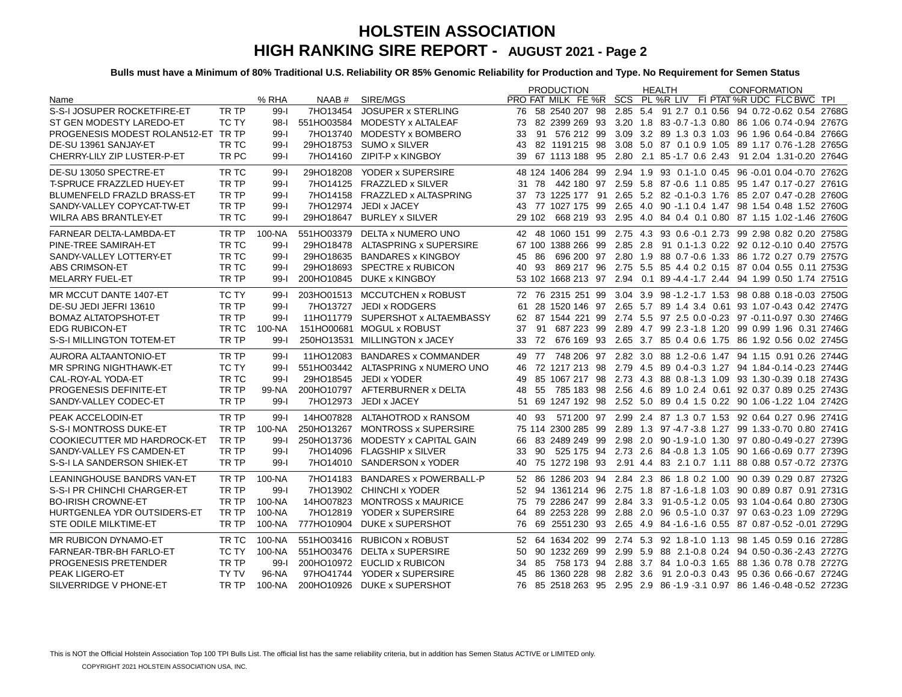|                                     |              |          |            |                                    | <b>PRODUCTION</b>                                           | <b>HEALTH</b> | <b>CONFORMATION</b>                                                     |
|-------------------------------------|--------------|----------|------------|------------------------------------|-------------------------------------------------------------|---------------|-------------------------------------------------------------------------|
| Name                                |              | % RHA    |            | NAAB # SIRE/MGS                    | PRO FAT MILK FE %R SCS PL %R LIV FI PTAT %R UDC FLC BWC TPI |               |                                                                         |
| S-S-I JOSUPER ROCKETFIRE-ET         | TR TP        | $99 - 1$ | 7HO13454   | JOSUPER x STERLING                 |                                                             |               | 76 58 2540 207 98 2.85 5.4 91 2.7 0.1 0.56 94 0.72 -0.62 0.54 2768G     |
| ST GEN MODESTY LAREDO-ET            | <b>TC TY</b> | $98-1$   |            | 551HO03584 MODESTY x ALTALEAF      |                                                             |               | 73 82 2399 269 93 3.20 1.8 83 -0.7 -1.3 0.80 86 1.06 0.74 -0.94 2767G   |
| PROGENESIS MODEST ROLAN512-ET TR TP |              | $99-$    |            | 7HO13740 MODESTY x BOMBERO         | 33                                                          |               | 91 576 212 99 3.09 3.2 89 1.3 0.3 1.03 96 1.96 0.64 -0.84 2766G         |
| DE-SU 13961 SANJAY-ET               | TR TC        | $99-$    |            | 29HO18753 SUMO x SILVER            |                                                             |               | 43 82 1191215 98 3.08 5.0 87 0.1 0.9 1.05 89 1.17 0.76 -1.28 2765G      |
| CHERRY-LILY ZIP LUSTER-P-ET         | TR PC        | $99 - 1$ |            | 7HO14160 ZIPIT-P x KINGBOY         | 39                                                          |               | 67 1113 188 95 2.80 2.1 85 -1.7 0.6 2.43 91 2.04 1.31 -0.20 2764G       |
| DE-SU 13050 SPECTRE-ET              | TR TC        | $99-$    | 29HO18208  | YODER x SUPERSIRE                  |                                                             |               | 48 124 1406 284 99 2.94 1.9 93 0.1-1.0 0.45 96 -0.01 0.04 -0.70 2762G   |
| <b>T-SPRUCE FRAZZLED HUEY-ET</b>    | TR TP        | $99 - 1$ |            | 7HO14125 FRAZZLED x SILVER         | 31 78                                                       |               | 442 180 97 2.59 5.8 87 -0.6 1.1 0.85 95 1.47 0.17 -0.27 2761G           |
| <b>BLUMENFELD FRAZLD BRASS-ET</b>   | TR TP        | $99 - 1$ |            | 7HO14158 FRAZZLED x ALTASPRING     |                                                             |               | 37 73 1225 177 91 2.65 5.2 82 -0.1-0.3 1.76 85 2.07 0.47 -0.28 2760G    |
| SANDY-VALLEY COPYCAT-TW-ET          | TR TP        | $99-$    | 7HO12974   | JEDI x JACEY                       |                                                             |               | 43 77 1027 175 99 2.65 4.0 90 -1.1 0.4 1.47 98 1.54 0.48 1.52 2760G     |
| <b>WILRA ABS BRANTLEY-ET</b>        | TR TC        | $99 - 1$ | 29HO18647  | <b>BURLEY x SILVER</b>             | 29 102                                                      |               | 668 219 93 2.95 4.0 84 0.4 0.1 0.80 87 1.15 1.02 -1.46 2760G            |
| FARNEAR DELTA-LAMBDA-ET             | TR TP        | 100-NA   |            | 551HO03379 DELTA x NUMERO UNO      |                                                             |               | 42 48 1060 151 99 2.75 4.3 93 0.6 -0.1 2.73 99 2.98 0.82 0.20 2758G     |
| PINE-TREE SAMIRAH-ET                | TR TC        | $99-I$   |            | 29HO18478 ALTASPRING x SUPERSIRE   |                                                             |               | 67 100 1388 266 99 2.85 2.8 91 0.1-1.3 0.22 92 0.12 0.10 0.40 2757G     |
| SANDY-VALLEY LOTTERY-ET             | TR TC        | $99 - 1$ |            | 29HO18635 BANDARES x KINGBOY       | -86<br>45                                                   |               | 696 200 97 2.80 1.9 88 0.7 - 0.6 1.33 86 1.72 0.27 0.79 2757G           |
| ABS CRIMSON-ET                      | TR TC        | $99 - 1$ |            | 29HO18693 SPECTRE x RUBICON        | 93<br>40                                                    |               | 869 217 96 2.75 5.5 85 4.4 0.2 0.15 87 0.04 0.55 0.11 2753G             |
| <b>MELARRY FUEL-ET</b>              | TR TP        | $99 - 1$ |            | 200HO10845 DUKE x KINGBOY          |                                                             |               | 53 102 1668 213 97 2.94 0.1 89 -4.4 -1.7 2.44 94 1.99 0.50 1.74 2751G   |
| MR MCCUT DANTE 1407-ET              | TC TY        | $99 - 1$ |            | 203HO01513 MCCUTCHEN x ROBUST      |                                                             |               | 72 76 2315 251 99 3.04 3.9 98 -1.2 -1.7 1.53 98 0.88 0.18 -0.03 2750G   |
| DE-SU JEDI JEFRI 13610              | TR TP        | $99 - 1$ | 7HO13727   | JEDI x RODGERS                     | 61                                                          |               | 28 1520 146 97 2.65 5.7 89 1.4 3.4 0.61 93 1.07 -0.43 0.42 2747G        |
| <b>BOMAZ ALTATOPSHOT-ET</b>         | TR TP        | $99 - 1$ |            | 11HO11779 SUPERSHOT x ALTAEMBASSY  |                                                             |               | 62 87 1544 221 99 2.74 5.5 97 2.5 0.0 -0.23 97 -0.11 -0.97 0.30 2746G   |
| <b>EDG RUBICON-ET</b>               | TR TC        | 100-NA   |            | 151HO00681 MOGUL x ROBUST          | 91<br>37                                                    |               | 687 223 99 2.89 4.7 99 2.3 - 1.8 1.20 99 0.99 1.96 0.31 2746G           |
| S-S-I MILLINGTON TOTEM-ET           | TR TP        | $99 - 1$ |            | 250HO13531 MILLINGTON x JACEY      | 33                                                          |               | 72 676 169 93 2.65 3.7 85 0.4 0.6 1.75 86 1.92 0.56 0.02 2745G          |
| AURORA ALTAANTONIO-ET               | TR TP        | $99 - 1$ |            | 11HO12083 BANDARES x COMMANDER     |                                                             |               | 49 77 748 206 97 2.82 3.0 88 1.2 - 0.6 1.47 94 1.15 0.91 0.26 2744G     |
| MR SPRING NIGHTHAWK-ET              | TC TY        | $99 - 1$ |            | 551HO03442 ALTASPRING x NUMERO UNO | 46                                                          |               | 72 1217 213 98 2.79 4.5 89 0.4 -0.3 1.27 94 1.84 -0.14 -0.23 2744G      |
| CAL-ROY-AL YODA-ET                  | TR TC        | $99 - 1$ |            | 29HO18545 JEDI x YODER             | 49                                                          |               | 85 1067 217 98 2.73 4.3 88 0.8-1.3 1.09 93 1.30-0.39 0.18 2743G         |
| PROGENESIS DEFINITE-ET              | TR TP        | 99-NA    | 200HO10797 | AFTERBURNER x DELTA                | 48                                                          |               | 55 785 183 98 2.56 4.6 89 1.0 2.4 0.61 92 0.37 0.89 0.25 2743G          |
| SANDY-VALLEY CODEC-ET               | TR TP        | $99 - 1$ | 7HO12973   | JEDI x JACEY                       |                                                             |               | 51 69 1247 192 98 2.52 5.0 89 0.4 1.5 0.22 90 1.06 -1.22 1.04 2742G     |
| PEAK ACCELODIN-ET                   | TR TP        | $99 - 1$ |            | 14HO07828 ALTAHOTROD x RANSOM      | 40 93                                                       |               | 571 200 97 2.99 2.4 87 1.3 0.7 1.53 92 0.64 0.27 0.96 2741G             |
| S-S-I MONTROSS DUKE-ET              | TR TP        | $100-NA$ | 250HO13267 | <b>MONTROSS x SUPERSIRE</b>        |                                                             |               | 75 114 2300 285 99 2.89 1.3 97 -4.7 -3.8 1.27 99 1.33 -0.70 0.80 2741G  |
| <b>COOKIECUTTER MD HARDROCK-ET</b>  | TR TP        | $99 - 1$ | 250HO13736 | MODESTY x CAPITAL GAIN             |                                                             |               | 66 83 2489 249 99 2.98 2.0 90 -1.9 -1.0 1.30 97 0.80 -0.49 -0.27 2739G  |
| SANDY-VALLEY FS CAMDEN-ET           | TR TP        | $99-$    |            | 7HO14096 FLAGSHIP x SILVER         | 33<br>90                                                    |               | 525 175 94 2.73 2.6 84 -0.8 1.3 1.05 90 1.66 -0.69 0.77 2739G           |
| S-S-I LA SANDERSON SHIEK-ET         | TR TP        | $99-$    |            | 7HO14010 SANDERSON x YODER         | 40                                                          |               | 75 1272 198 93 2.91 4.4 83 2.1 0.7 1.11 88 0.88 0.57 -0.72 2737G        |
|                                     |              |          |            |                                    |                                                             |               |                                                                         |
| LEANINGHOUSE BANDRS VAN-ET          | TR TP        | 100-NA   |            | 7HO14183 BANDARES x POWERBALL-P    |                                                             |               | 52 86 1286 203 94 2.84 2.3 86 1.8 0.2 1.00 90 0.39 0.29 0.87 2732G      |
| S-S-I PR CHINCHI CHARGER-ET         | TR TP        | $99-$    |            | 7HO13902 CHINCHI x YODER           |                                                             |               | 52 94 1361 214 96 2.75 1.8 87 - 1.6 - 1.8 1.03 90 0.89 0.87 0.91 2731 G |
| <b>BO-IRISH CROWNE-ET</b>           | TR TP        | 100-NA   |            | 14HO07823 MONTROSS x MAURICE       |                                                             |               | 75 79 2286 247 99 2.84 3.3 91 0.5 -1.2 0.05 93 1.04 -0.64 0.80 2730G    |
| HURTGENLEA YDR OUTSIDERS-ET         | TR TP        | 100-NA   |            | 7HO12819 YODER x SUPERSIRE         | 64                                                          |               | 89 2253 228 99 2.88 2.0 96 0.5-1.0 0.37 97 0.63-0.23 1.09 2729G         |
| <b>STE ODILE MILKTIME-ET</b>        | TR TP        | 100-NA   | 777HO10904 | DUKE x SUPERSHOT                   | 76                                                          |               | 69 2551 230 93 2.65 4.9 84 -1.6 -1.6 0.55 87 0.87 -0.52 -0.01 2729G     |
| MR RUBICON DYNAMO-ET                | TR TC        | 100-NA   |            | 551HO03416 RUBICON x ROBUST        |                                                             |               | 52 64 1634 202 99 2.74 5.3 92 1.8-1.0 1.13 98 1.45 0.59 0.16 2728G      |
| FARNEAR-TBR-BH FARLO-ET             | TC TY        | 100-NA   |            | 551HO03476 DELTA x SUPERSIRE       | 90 1232 269 99<br>50                                        |               | 2.99 5.9 88 2.1-0.8 0.24 94 0.50 -0.36 -2.43 2727G                      |
| PROGENESIS PRETENDER                | TR TP        | $99 - 1$ |            | 200HO10972 EUCLID x RUBICON        | 34                                                          |               | 85 758 173 94 2.88 3.7 84 1.0 -0.3 1.65 88 1.36 0.78 0.78 2727G         |
| PEAK LIGERO-ET                      | <b>TY TV</b> | 96-NA    | 97HO41744  | YODER x SUPERSIRE                  | 45                                                          |               | 86 1360 228 98 2.82 3.6 91 2.0 -0.3 0.43 95 0.36 0.66 -0.67 2724G       |
| SILVERRIDGE V PHONE-ET              | TR TP        | 100-NA   |            | 200HO10926 DUKE x SUPERSHOT        |                                                             |               | 76 85 2518 263 95 2.95 2.9 86 -1.9 -3.1 0.97 86 1.46 -0.48 -0.52 2723G  |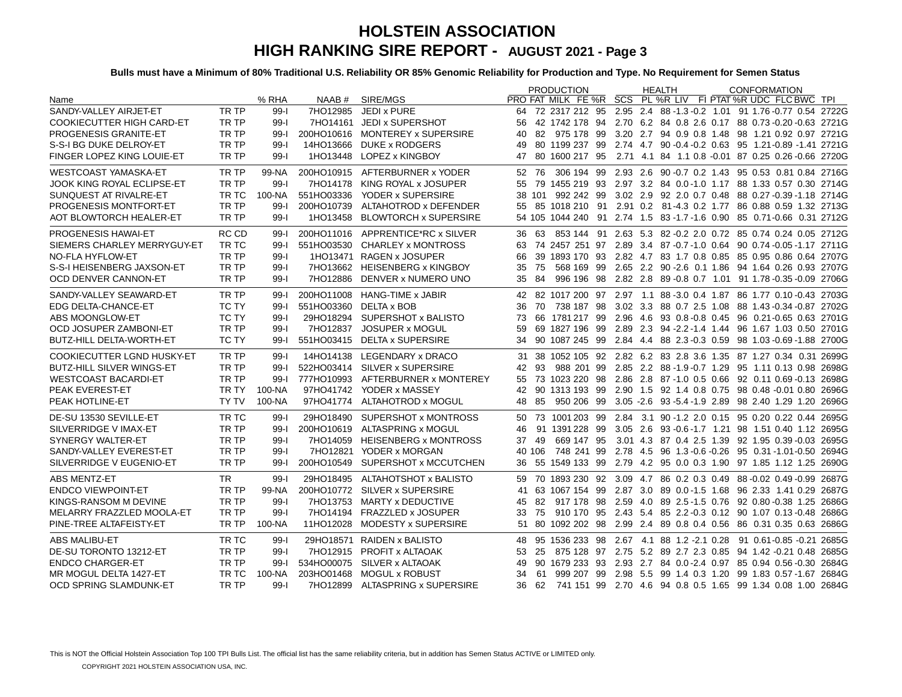|                                   |              |          |            |                                   | <b>PRODUCTION</b>                                           | <b>HEALTH</b>                                 | <b>CONFORMATION</b>                                                               |
|-----------------------------------|--------------|----------|------------|-----------------------------------|-------------------------------------------------------------|-----------------------------------------------|-----------------------------------------------------------------------------------|
| Name                              |              | % RHA    |            | NAAB # SIRE/MGS                   | PRO FAT MILK FE %R SCS PL %R LIV FI PTAT %R UDC FLC BWC TPI |                                               |                                                                                   |
| SANDY-VALLEY AIRJET-ET            | TR TP        | $99 - 1$ | 7HO12985   | JEDI x PURE                       |                                                             |                                               | 64 72 2317 212 95 2.95 2.4 88 -1.3 -0.2 1.01 91 1.76 -0.77 0.54 2722G             |
| <b>COOKIECUTTER HIGH CARD-ET</b>  | TR TP        | $99 - 1$ |            | 7HO14161 JEDI x SUPERSHOT         | 56                                                          |                                               | 42 1742 178 94 2.70 6.2 84 0.8 2.6 0.17 88 0.73 -0.20 -0.63 2721G                 |
| <b>PROGENESIS GRANITE-ET</b>      | TR TP        | $99 - 1$ |            | 200HO10616 MONTEREY x SUPERSIRE   | 82 975 178 99<br>40                                         |                                               | 3.20 2.7 94 0.9 0.8 1.48 98 1.21 0.92 0.97 2721G                                  |
| S-S-I BG DUKE DELROY-ET           | TR TP        | $99-$    |            | 14HO13666 DUKE x RODGERS          | 80 1199 237 99<br>49                                        |                                               | 2.74 4.7 90 -0.4 -0.2 0.63 95 1.21 -0.89 -1.41 2721G                              |
| FINGER LOPEZ KING LOUIE-ET        | TR TP        | $99 - 1$ |            | 1HO13448 LOPEZ x KINGBOY          | 80 1600 217 95<br>47                                        |                                               | 2.71 4.1 84 1.1 0.8 -0.01 87 0.25 0.26 -0.66 2720G                                |
| <b>WESTCOAST YAMASKA-ET</b>       | TR TP        | 99-NA    |            | 200HO10915 AFTERBURNER x YODER    | 306 194 99<br>52 76                                         |                                               | 2.93 2.6 90 -0.7 0.2 1.43 95 0.53 0.81 0.84 2716G                                 |
| JOOK KING ROYAL ECLIPSE-ET        | TR TP        | $99 - 1$ |            | 7HO14178 KING ROYAL x JOSUPER     | 55                                                          |                                               | 79 1455 219 93 2.97 3.2 84 0.0-1.0 1.17 88 1.33 0.57 0.30 2714G                   |
| SUNQUEST AT RIVALRE-ET            | TR TC        | 100-NA   |            | 551HO03336 YODER x SUPERSIRE      | 38 101 992 242 99                                           |                                               | 3.02 2.9 92 2.0 0.7 0.48 88 0.27 -0.39 -1.18 2714G                                |
| PROGENESIS MONTFORT-ET            | TR TP        | $99 - 1$ | 200HO10739 | ALTAHOTROD x DEFENDER             |                                                             |                                               | 55 85 1018 210 91 2.91 0.2 81-4.3 0.2 1.77 86 0.88 0.59 1.32 2713G                |
| AOT BLOWTORCH HEALER-ET           | TR TP        | $99 - 1$ |            | 1HO13458 BLOWTORCH x SUPERSIRE    |                                                             |                                               | 54 105 1044 240 91 2.74 1.5 83 -1.7 -1.6 0.90 85 0.71 -0.66 0.31 2712G            |
| <b>PROGENESIS HAWAI-ET</b>        | RC CD        | $99 - 1$ |            | 200HO11016 APPRENTICE*RC x SILVER | 36 63                                                       |                                               | 853 144 91 2.63 5.3 82 -0.2 2.0 0.72 85 0.74 0.24 0.05 2712G                      |
| SIEMERS CHARLEY MERRYGUY-ET       | TR TC        | $99 - 1$ | 551HO03530 | CHARLEY x MONTROSS                | 63                                                          |                                               | 74 2457 251 97 2.89 3.4 87 -0.7 -1.0 0.64 90 0.74 -0.05 -1.17 2711G               |
| NO-FLA HYFLOW-ET                  | TR TP        | $99 - 1$ |            | 1HO13471 RAGEN x JOSUPER          | 66                                                          |                                               | 39 1893 170 93 2.82 4.7 83 1.7 0.8 0.85 85 0.95 0.86 0.64 2707G                   |
| S-S-I HEISENBERG JAXSON-ET        | TR TP        | $99 - 1$ |            | 7HO13662 HEISENBERG x KINGBOY     | 568 169 99<br>75<br>35                                      |                                               | 2.65 2.2 90 - 2.6 0.1 1.86 94 1.64 0.26 0.93 2707G                                |
| OCD DENVER CANNON-ET              | TR TP        | $99 - 1$ |            | 7HO12886 DENVER x NUMERO UNO      | 84<br>35                                                    |                                               | 996 196 98 2.82 2.8 89 -0.8 0.7 1.01 91 1.78 -0.35 -0.09 2706G                    |
| SANDY-VALLEY SEAWARD-ET           | TR TP        | $99 - 1$ |            | 200HO11008 HANG-TIME x JABIR      |                                                             |                                               | 42 82 1017 200 97 2.97 1.1 88 -3.0 0.4 1.87 86 1.77 0.10 -0.43 2703G              |
| <b>EDG DELTA-CHANCE-ET</b>        | <b>TC TY</b> | $99 - 1$ |            | 551HO03360 DELTA x BOB            | 70<br>738 187 98<br>36                                      |                                               | 3.02 3.3 88 0.7 2.5 1.08 88 1.43 -0.34 -0.87 2702G                                |
| ABS MOONGLOW-ET                   | <b>TC TY</b> | $99 - 1$ |            | 29HO18294 SUPERSHOT x BALISTO     | 66 1781 217 99<br>73                                        |                                               | 2.96 4.6 93 0.8 0.8 0.45 96 0.21 0.65 0.63 2701G                                  |
| OCD JOSUPER ZAMBONI-ET            | TR TP        | $99 - 1$ | 7HO12837   | JOSUPER x MOGUL                   | 69 1827 196 99<br>59                                        |                                               | 2.89 2.3 94 -2.2 -1.4 1.44 96 1.67 1.03 0.50 2701G                                |
| <b>BUTZ-HILL DELTA-WORTH-ET</b>   | <b>TC TY</b> | $99 - 1$ |            | 551HO03415 DELTA x SUPERSIRE      | 90 1087 245 99<br>34                                        |                                               | 2.84 4.4 88 2.3 - 0.3 0.59 98 1.03 - 0.69 - 1.88 2700G                            |
| <b>COOKIECUTTER LGND HUSKY-ET</b> | TR TP        | $99 - 1$ |            | 14HO14138 LEGENDARY x DRACO       |                                                             |                                               | 31 38 1052 105 92 2.82 6.2 83 2.8 3.6 1.35 87 1.27 0.34 0.31 2699G                |
| BUTZ-HILL SILVER WINGS-ET         | TR TP        | $99 - 1$ |            | 522HO03414 SILVER x SUPERSIRE     | 988 201 99<br>93<br>42                                      |                                               | 2.85 2.2 88 -1.9 -0.7 1.29 95 1.11 0.13 0.98 2698G                                |
| <b>WESTCOAST BACARDI-ET</b>       | TR TP        | $99 - 1$ |            | 777HO10993 AFTERBURNER x MONTEREY | 55 73 1023 220 98                                           |                                               | 2.86 2.8 87 -1.0 0.5 0.66 92 0.11 0.69 -0.13 2698G                                |
| PEAK EVEREST-ET                   | TR TY        | 100-NA   |            | 97HO41742 YODER x MASSEY          | 90 1313 193 99<br>42                                        |                                               | 2.90 1.5 92 1.4 0.8 0.75 98 0.48 -0.01 0.80 2696G                                 |
| PEAK HOTLINE-ET                   | <b>TY TV</b> | 100-NA   |            | 97HO41774 ALTAHOTROD x MOGUL      | 85<br>950 206 99<br>48                                      | 3.05 -2.6 93 -5.4 -1.9 2.89 98 2.40 1.29 1.20 | 2696G                                                                             |
| DE-SU 13530 SEVILLE-ET            | TR TC        | $99-$    |            | 29HO18490 SUPERSHOT x MONTROSS    | 73 1001 203 99<br>50                                        |                                               | 2.84 3.1 90 -1.2 2.0 0.15 95 0.20 0.22 0.44 2695G                                 |
| SILVERRIDGE V IMAX-ET             | TR TP        | $99 - 1$ |            | 200HO10619 ALTASPRING x MOGUL     | 91 1391 228 99<br>46                                        |                                               | 3.05 2.6 93 - 0.6 - 1.7 1.21 98 1.51 0.40 1.12 2695G                              |
| SYNERGY WALTER-ET                 | TR TP        | $99 - 1$ |            | 7HO14059 HEISENBERG x MONTROSS    | 669 147 95<br>37<br>49                                      |                                               | 3.01 4.3 87 0.4 2.5 1.39 92 1.95 0.39 -0.03 2695G                                 |
| SANDY-VALLEY EVEREST-ET           | TR TP        | $99 - 1$ |            | 7HO12821 YODER x MORGAN           | 40 106<br>748 241 99                                        |                                               | 2.78 4.5 96 1.3 -0.6 -0.26 95 0.31 -1.01 -0.50 2694G                              |
| SILVERRIDGE V EUGENIO-ET          | TR TP        | $99 - 1$ |            | 200HO10549 SUPERSHOT x MCCUTCHEN  | 36 55 1549 133 99                                           |                                               | 2.79 4.2 95 0.0 0.3 1.90 97 1.85 1.12 1.25 2690G                                  |
| ABS MENTZ-ET                      | TR.          | $99 - 1$ |            | 29HO18495 ALTAHOTSHOT x BALISTO   |                                                             |                                               | 59 70 1893 230 92 3.09 4.7 86 0.2 0.3 0.49 88 -0.02 0.49 -0.99 2687G              |
| <b>ENDCO VIEWPOINT-ET</b>         | TR TP        | 99-NA    |            | 200HO10772 SILVER x SUPERSIRE     | 63 1067 154 99<br>41                                        |                                               | 2.87 3.0 89 0.0 - 1.5 1.68 96 2.33 1.41 0.29 2687G                                |
| KINGS-RANSOM M DEVINE             | TR TP        | $99 - 1$ |            | 7HO13753 MARTY x DEDUCTIVE        | 82 917 178 98<br>45                                         |                                               | 2.59 4.0 89 2.5-1.5 0.76 92 0.80-0.38 1.25 2686G                                  |
| MELARRY FRAZZLED MOOLA-ET         | TR TP        | $99 - 1$ |            | 7HO14194 FRAZZLED x JOSUPER       | 75<br>33                                                    |                                               | 910 170 95 2.43 5.4 85 2.2 -0.3 0.12 90 1.07 0.13 -0.48 2686G                     |
| PINE-TREE ALTAFEISTY-ET           | TR TP        | 100-NA   |            | 11HO12028 MODESTY x SUPERSIRE     | 51                                                          |                                               | 80 1092 202 98 2.99 2.4 89 0.8 0.4 0.56 86 0.31 0.35 0.63 2686G                   |
| ABS MALIBU-ET                     | TR TC        | $99 - 1$ |            | 29HO18571 RAIDEN x BALISTO        | 48                                                          |                                               | 95 1536 233 98 2.67 4.1 88 1.2 -2.1 0.28 91 0.61 -0.85 -0.21 2685G                |
| DE-SU TORONTO 13212-ET            | TR TP        | $99 - 1$ |            | 7HO12915 PROFIT x ALTAOAK         | 53<br>25                                                    |                                               | 875 128 97 2.75 5.2 89 2.7 2.3 0.85 94 1.42 -0.21 0.48 2685G                      |
| <b>ENDCO CHARGER-ET</b>           | TR TP        | $99 - 1$ |            | 534HO00075 SILVER x ALTAOAK       | 49                                                          |                                               | 90 1679 233 93 2.93 2.7 84 0.0 - 2.4 0.97 85 0.94 0.56 - 0.30 2684G               |
| MR MOGUL DELTA 1427-ET            | TR TC        | 100-NA   |            | 203HO01468 MOGUL x ROBUST         | 34<br>-61                                                   |                                               | 999 207 99 2.98 5.5 99 1.4 0.3 1.20 99 1.83 0.57 -1.67 2684G                      |
| OCD SPRING SLAMDUNK-ET            | TR TP        | $99 - 1$ |            | 7HO12899 ALTASPRING x SUPERSIRE   | 36<br>62                                                    |                                               | 741 151 99   2.70   4.6   94   0.8   0.5   1.65   99   1.34   0.08   1.00   2684G |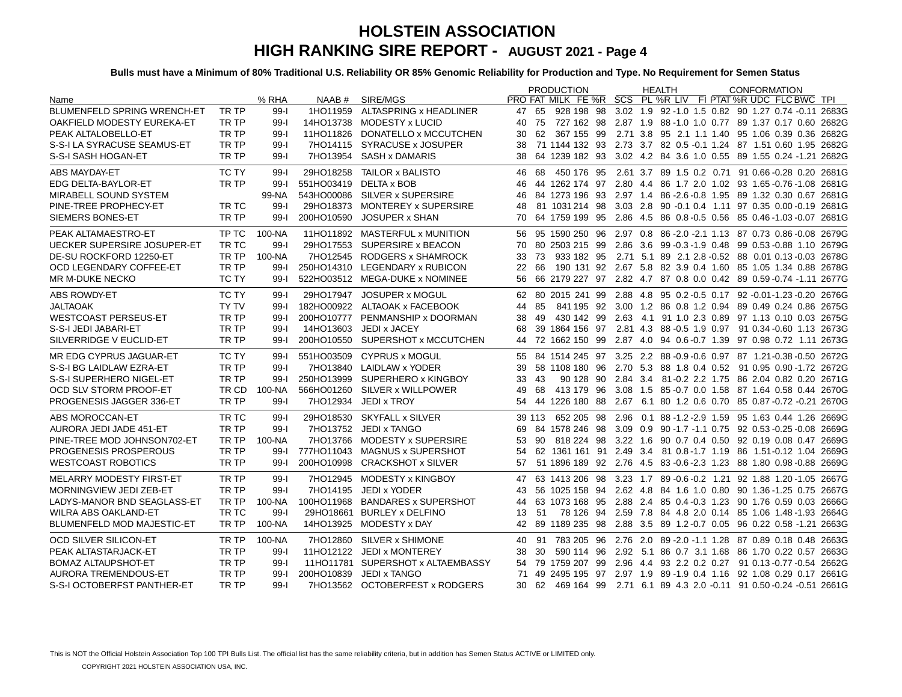|                                    |              |          |                        |                                   |    |        | <b>PRODUCTION</b>                                                              |  | <b>HEALTH</b>                                               |  | <b>CONFORMATION</b> |       |
|------------------------------------|--------------|----------|------------------------|-----------------------------------|----|--------|--------------------------------------------------------------------------------|--|-------------------------------------------------------------|--|---------------------|-------|
| Name                               |              | % RHA    |                        | NAAB # SIRE/MGS                   |    |        | PRO FAT MILK FE %R SCS PL %R LIV FI PTAT %R UDC FLC BWC TPL                    |  |                                                             |  |                     |       |
| <b>BLUMENFELD SPRING WRENCH-ET</b> | TR TP        | $99 - 1$ | 1HO11959               | ALTASPRING x HEADLINER            | 47 | 65     | 928 198 98 3.02 1.9 92 -1.0 1.5 0.82 90 1.27 0.74 -0.11 2683G                  |  |                                                             |  |                     |       |
| OAKFIELD MODESTY EUREKA-ET         | TR TP        | $99 - 1$ |                        | 14HO13738 MODESTY x LUCID         | 40 | 75     | 727 162 98 2.87 1.9 88 -1.0 1.0 0.77 89 1.37 0.17 0.60 2682G                   |  |                                                             |  |                     |       |
| PEAK ALTALOBELLO-ET                | TR TP        | $99-I$   |                        | 11HO11826 DONATELLO x MCCUTCHEN   | 30 |        | 62 367 155 99 2.71 3.8 95 2.1 1.1 1.40 95 1.06 0.39 0.36 2682G                 |  |                                                             |  |                     |       |
| S-S-I LA SYRACUSE SEAMUS-ET        | TR TP        | $99 - 1$ |                        | 7HO14115 SYRACUSE x JOSUPER       | 38 |        | 71 1144 132 93 2.73 3.7 82 0.5 -0.1 1.24 87 1.51 0.60 1.95 2682G               |  |                                                             |  |                     |       |
| S-S-I SASH HOGAN-ET                | TR TP        | $99 - 1$ |                        | 7HO13954 SASH x DAMARIS           | 38 |        | 64 1239 182 93 3.02 4.2 84 3.6 1.0 0.55 89 1.55 0.24 -1.21 2682G               |  |                                                             |  |                     |       |
| ABS MAYDAY-ET                      | TC TY        | $99 - 1$ |                        | 29HO18258 TAILOR x BALISTO        |    |        | 46 68 450 176 95 2.61 3.7 89 1.5 0.2 0.71 91 0.66 0.28 0.20 2681G              |  |                                                             |  |                     |       |
| EDG DELTA-BAYLOR-ET                | TR TP        | $99 - 1$ | 551HO03419 DELTA x BOB |                                   | 46 |        | 44 1262 174 97 2.80 4.4 86 1.7 2.0 1.02 93 1.65 -0.76 -1.08 2681G              |  |                                                             |  |                     |       |
| MIRABELL SOUND SYSTEM              |              | 99-NA    |                        | 543HO00086 SILVER x SUPERSIRE     | 46 |        | 84 1273 196 93 2.97 1.4 86 - 2.6 - 0.8 1.95 89 1.32 0.30 0.67 2681G            |  |                                                             |  |                     |       |
| PINE-TREE PROPHECY-ET              | TR TC        | $99 - 1$ |                        | 29HO18373 MONTEREY x SUPERSIRE    | 48 |        | 81 1031 214 98 3.03 2.8 90 -0.1 0.4 1.11 97 0.35 0.00 -0.19 2681 G             |  |                                                             |  |                     |       |
| SIEMERS BONES-ET                   | TR TP        | $99 - 1$ |                        | 200HO10590 JOSUPER x SHAN         | 70 |        | 64 1759 199 95 2.86 4.5 86 0.8 -0.5 0.56 85 0.46 -1.03 -0.07                   |  |                                                             |  |                     | 2681G |
| PEAK ALTAMAESTRO-ET                | TP TC        | 100-NA   |                        | 11HO11892 MASTERFUL x MUNITION    |    |        | 56 95 1590 250 96 2.97 0.8 86 -2.0 -2.1 1.13 87 0.73 0.86 -0.08 2679G          |  |                                                             |  |                     |       |
| <b>UECKER SUPERSIRE JOSUPER-ET</b> | TR TC        | $99-1$   |                        | 29HO17553 SUPERSIRE x BEACON      | 70 |        | 80 2503 215 99 2.86 3.6 99 -0.3 -1.9 0.48 99 0.53 -0.88 1.10 2679G             |  |                                                             |  |                     |       |
| DE-SU ROCKFORD 12250-ET            | TR TP        | 100-NA   |                        | 7HO12545 RODGERS x SHAMROCK       | 33 | 73     | 933 182 95 2.71 5.1 89 2.1 2.8 -0.52 88 0.01 0.13 -0.03 2678G                  |  |                                                             |  |                     |       |
| OCD LEGENDARY COFFEE-ET            | TR TP        | $99 - 1$ |                        | 250HO14310 LEGENDARY x RUBICON    | 22 | 66     | 190 131 92 2.67 5.8 82 3.9 0.4 1.60 85 1.05 1.34 0.88 2678G                    |  |                                                             |  |                     |       |
| MR M-DUKE NECKO                    | TC TY        | $99-I$   |                        | 522HO03512 MEGA-DUKE x NOMINEE    | 56 |        | 66 2179 227 97 2.82 4.7 87 0.8 0.0 0.42 89 0.59 0.74 -1.11 2677G               |  |                                                             |  |                     |       |
| ABS ROWDY-ET                       | TC TY        | $99 - 1$ |                        | 29HO17947 JOSUPER x MOGUL         |    |        | 62 80 2015 241 99 2.88 4.8 95 0.2 -0.5 0.17 92 -0.01 -1.23 -0.20 2676G         |  |                                                             |  |                     |       |
| <b>JALTAOAK</b>                    | <b>TY TV</b> | $99 - 1$ |                        | 182HO00922 ALTAOAK x FACEBOOK     | 44 | 85     |                                                                                |  | 841 195 92 3.00 1.2 86 0.8 1.2 0.94 89 0.49 0.24 0.86 2675G |  |                     |       |
| <b>WESTCOAST PERSEUS-ET</b>        | TR TP        | $99 - 1$ |                        | 200HO10777 PENMANSHIP x DOORMAN   | 38 | 49     | 430 142 99 2.63 4.1 91 1.0 2.3 0.89 97 1.13 0.10 0.03 2675G                    |  |                                                             |  |                     |       |
| S-S-I JEDI JABARI-ET               | TR TP        | $99 - 1$ |                        | 14HO13603 JEDI x JACEY            | 68 |        | 39 1864 156 97 2.81 4.3 88 -0.5 1.9 0.97 91 0.34 -0.60 1.13 2673G              |  |                                                             |  |                     |       |
| SILVERRIDGE V EUCLID-ET            | TR TP        | $99 - 1$ |                        | 200HO10550 SUPERSHOT x MCCUTCHEN  | 44 |        | 72 1662 150 99 2.87 4.0 94 0.6 -0.7 1.39 97 0.98 0.72 1.11 2673G               |  |                                                             |  |                     |       |
| MR EDG CYPRUS JAGUAR-ET            | TC TY        | $99-1$   |                        | 551HO03509 CYPRUS x MOGUL         |    |        | 55 84 1514 245 97 3.25 2.2 88 -0.9 -0.6 0.97 87 1.21 -0.38 -0.50 2672G         |  |                                                             |  |                     |       |
| S-S-I BG LAIDLAW EZRA-ET           | TR TP        | $99 - 1$ |                        | 7HO13840 LAIDLAW x YODER          | 39 |        | 58 1108 180 96 2.70 5.3 88 1.8 0.4 0.52 91 0.95 0.90 -1.72 2672G               |  |                                                             |  |                     |       |
| S-S-I SUPERHERO NIGEL-ET           | TR TP        | $99 - 1$ |                        | 250HO13999 SUPERHERO x KINGBOY    | 33 | 43     |                                                                                |  | 90 128 90 2.84 3.4 81-0.2 2.2 1.75 86 2.04 0.82 0.20 2671G  |  |                     |       |
| OCD SLV STORM PROOF-ET             | TR CD        | 100-NA   |                        | 566HO01260 SILVER x WILLPOWER     | 49 | 68     | 413 179 96 3.08 1.5 85 -0.7 0.0 1.58 87 1.64 0.58 0.44 2670G                   |  |                                                             |  |                     |       |
| PROGENESIS JAGGER 336-ET           | TR TP        | $99 - 1$ | 7HO12934               | JEDI x TROY                       |    |        | 54 44 1226 180 88 2.67 6.1 80 1.2 0.6 0.70 85 0.87 -0.72 -0.21 2670G           |  |                                                             |  |                     |       |
|                                    |              |          |                        |                                   |    |        |                                                                                |  |                                                             |  |                     |       |
| ABS MOROCCAN-ET                    | TR TC        | $99 - 1$ |                        | 29HO18530 SKYFALL x SILVER        |    | 39 113 | 652 205 98 2.96 0.1 88 -1.2 -2.9 1.59 95 1.63 0.44 1.26 2669G                  |  |                                                             |  |                     |       |
| AURORA JEDI JADE 451-ET            | TR TP        | $99 - 1$ |                        | 7HO13752 JEDI x TANGO             | 69 |        | 84 1578 246 98 3.09 0.9 90 -1.7 -1.1 0.75 92 0.53 -0.25 -0.08 2669G            |  |                                                             |  |                     |       |
| PINE-TREE MOD JOHNSON702-ET        | TR TP        | 100-NA   |                        | 7HO13766 MODESTY x SUPERSIRE      | 53 | 90     | 818 224 98 3.22 1.6 90 0.7 0.4 0.50 92 0.19 0.08 0.47 2669G                    |  |                                                             |  |                     |       |
| PROGENESIS PROSPEROUS              | TR TP        | $99 - 1$ |                        | 777HO11043 MAGNUS x SUPERSHOT     | 54 |        | 62 1361 161 91 2.49 3.4 81 0.8 - 1.7 1.19 86 1.51 - 0.12 1.04 2669G            |  |                                                             |  |                     |       |
| <b>WESTCOAST ROBOTICS</b>          | TR TP        | $99 - 1$ | 200HO10998             | <b>CRACKSHOT x SILVER</b>         | 57 |        | 51 1896 189  92  2.76  4.5  83  -0.6  -2.3  1.23  88  1.80  0.98  -0.88  2669G |  |                                                             |  |                     |       |
| <b>MELARRY MODESTY FIRST-ET</b>    | TR TP        | $99 - 1$ |                        | 7HO12945 MODESTY x KINGBOY        |    |        | 47 63 1413 206 98 3.23 1.7 89 -0.6 -0.2 1.21 92 1.88 1.20 -1.05 2667G          |  |                                                             |  |                     |       |
| MORNINGVIEW JEDI ZEB-ET            | TR TP        | $99 - 1$ | 7HO14195               | JEDI x YODER                      | 43 |        | 56 1025 158 94 2.62 4.8 84 1.6 1.0 0.80 90 1.36 -1.25 0.75 2667G               |  |                                                             |  |                     |       |
| LADYS-MANOR BND SEAGLASS-ET        | TR TP        | 100-NA   |                        | 100HO11968 BANDARES x SUPERSHOT   | 44 |        | 63 1073 168 95 2.88 2.4 85 0.4 -0.3 1.23 90 1.76 0.59 0.03 2666G               |  |                                                             |  |                     |       |
| WILRA ABS OAKLAND-ET               | TR TC        | $99-1$   |                        | 29HO18661 BURLEY x DELFINO        | 13 | 51     |                                                                                |  | 78 126 94 2.59 7.8 84 4.8 2.0 0.14 85 1.06 1.48 -1.93 2664G |  |                     |       |
| <b>BLUMENFELD MOD MAJESTIC-ET</b>  | TR TP        | 100-NA   |                        | 14HO13925 MODESTY x DAY           |    |        | 42 89 1189 235 98 2.88 3.5 89 1.2 - 0.7 0.05 96 0.22 0.58 - 1.21 2663G         |  |                                                             |  |                     |       |
| <b>OCD SILVER SILICON-ET</b>       | TR TP        | 100-NA   |                        | 7HO12860 SILVER x SHIMONE         | 40 |        | 91 783 205 96 2.76 2.0 89 - 2.0 - 1.1 1.28 87 0.89 0.18 0.48 2663G             |  |                                                             |  |                     |       |
| PEAK ALTASTARJACK-ET               | TR TP        | $99 - 1$ |                        | 11HO12122 JEDI x MONTEREY         | 38 | 30     | 590 114 96 2.92 5.1 86 0.7 3.1 1.68 86 1.70 0.22 0.57 2663G                    |  |                                                             |  |                     |       |
| <b>BOMAZ ALTAUPSHOT-ET</b>         | TR TP        | $99 - 1$ |                        | 11HO11781 SUPERSHOT x ALTAEMBASSY | 54 |        | 79 1759 207 99 2.96 4.4 93 2.2 0.2 0.27 91 0.13 -0.77 -0.54 2662G              |  |                                                             |  |                     |       |
| AURORA TREMENDOUS-ET               | TR TP        | $99 - 1$ |                        | 200HO10839 JEDI x TANGO           | 71 |        | 49 2495 195 97 2.97 1.9 89 -1.9 0.4 1.16 92 1.08 0.29 0.17 2661G               |  |                                                             |  |                     |       |
| S-S-I OCTOBERFST PANTHER-ET        | TR TP        | $99 - 1$ |                        | 7HO13562 OCTOBERFEST x RODGERS    |    | 30 62  | 469 164 99 2.71 6.1 89 4.3 2.0 -0.11 91 0.50 -0.24 -0.51 2661G                 |  |                                                             |  |                     |       |